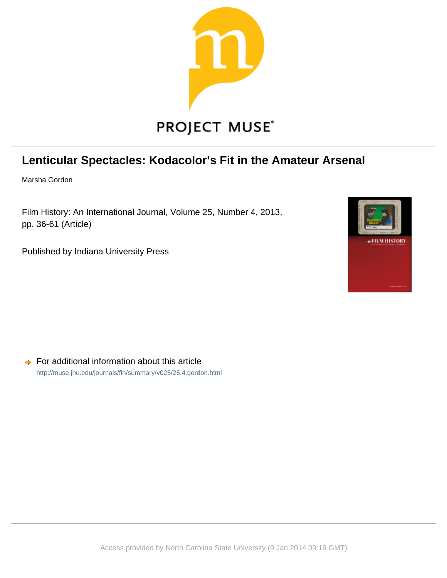

# **Lenticular Spectacles: Kodacolor's Fit in the Amateur Arsenal**

Marsha Gordon

Film History: An International Journal, Volume 25, Number 4, 2013, pp. 36-61 (Article)

Published by Indiana University Press



 $\rightarrow$  For additional information about this article <http://muse.jhu.edu/journals/fih/summary/v025/25.4.gordon.html>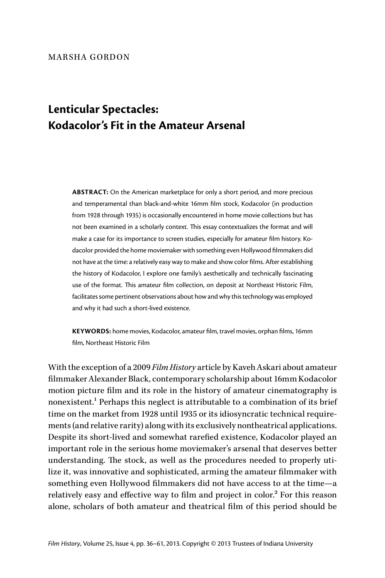### MARSHA GORDON

# **Lenticular Spectacles: Kodacolor's Fit in the Amateur Arsenal**

**ABSTRACT:** On the American marketplace for only a short period, and more precious and temperamental than black-and-white 16mm film stock, Kodacolor (in production from 1928 through 1935) is occasionally encountered in home movie collections but has not been examined in a scholarly context. This essay contextualizes the format and will make a case for its importance to screen studies, especially for amateur film history. Kodacolor provided the home moviemaker with something even Hollywood filmmakers did not have at the time: a relatively easy way to make and show color films. After establishing the history of Kodacolor, I explore one family's aesthetically and technically fascinating use of the format. This amateur film collection, on deposit at Northeast Historic Film, facilitates some pertinent observations about how and why this technology was employed and why it had such a short-lived existence.

**KEYWORDS:** home movies, Kodacolor, amateur film, travel movies, orphan films, 16mm film, Northeast Historic Film

With the exception of a 2009 *Film History* article by Kaveh Askari about amateur filmmaker Alexander Black, contemporary scholarship about 16mm Kodacolor motion picture film and its role in the history of amateur cinematography is nonexistent.1 Perhaps this neglect is attributable to a combination of its brief time on the market from 1928 until 1935 or its idiosyncratic technical requirements (and relative rarity) along with its exclusively nontheatrical applications. Despite its short-lived and somewhat rarefied existence, Kodacolor played an important role in the serious home moviemaker's arsenal that deserves better understanding. The stock, as well as the procedures needed to properly utilize it, was innovative and sophisticated, arming the amateur filmmaker with something even Hollywood filmmakers did not have access to at the time—a relatively easy and effective way to film and project in color.<sup>2</sup> For this reason alone, scholars of both amateur and theatrical film of this period should be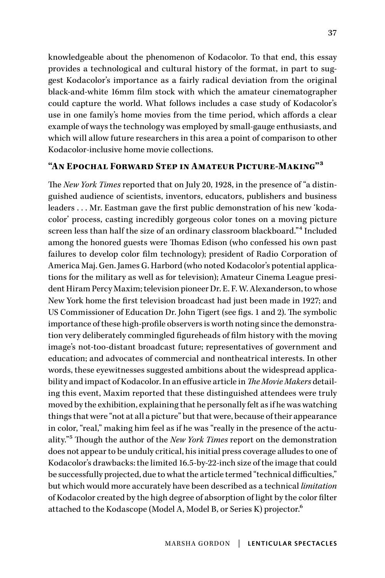knowledgeable about the phenomenon of Kodacolor. To that end, this essay provides a technological and cultural history of the format, in part to suggest Kodacolor's importance as a fairly radical deviation from the original black-and-white 16mm film stock with which the amateur cinematographer could capture the world. What follows includes a case study of Kodacolor's use in one family's home movies from the time period, which affords a clear example of ways the technology was employed by small-gauge enthusiasts, and which will allow future researchers in this area a point of comparison to other Kodacolor-inclusive home movie collections.

# **"An Epochal Forward Step in Amateur Picture-Making"3**

The *New York Times* reported that on July 20, 1928, in the presence of "a distinguished audience of scientists, inventors, educators, publishers and business leaders . . . Mr. Eastman gave the first public demonstration of his new 'kodacolor' process, casting incredibly gorgeous color tones on a moving picture screen less than half the size of an ordinary classroom blackboard."<sup>4</sup> Included among the honored guests were Thomas Edison (who confessed his own past failures to develop color film technology); president of Radio Corporation of America Maj. Gen. James G. Harbord (who noted Kodacolor's potential applications for the military as well as for television); Amateur Cinema League president Hiram Percy Maxim; television pioneer Dr. E. F. W. Alexanderson, to whose New York home the first television broadcast had just been made in 1927; and US Commissioner of Education Dr. John Tigert (see figs. 1 and 2). The symbolic importance of these high-profile observers is worth noting since the demonstration very deliberately commingled figureheads of film history with the moving image's not-too-distant broadcast future; representatives of government and education; and advocates of commercial and nontheatrical interests. In other words, these eyewitnesses suggested ambitions about the widespread applicability and impact of Kodacolor. In an effusive article in *The Movie Makers* detailing this event, Maxim reported that these distinguished attendees were truly moved by the exhibition, explaining that he personally felt as if he was watching things that were "not at all a picture" but that were, because of their appearance in color, "real," making him feel as if he was "really in the presence of the actuality."5 Though the author of the *New York Times* report on the demonstration does not appear to be unduly critical, his initial press coverage alludes to one of Kodacolor's drawbacks: the limited 16.5-by-22-inch size of the image that could be successfully projected, due to what the article termed "technical difficulties," but which would more accurately have been described as a technical *limitation* of Kodacolor created by the high degree of absorption of light by the color filter attached to the Kodascope (Model A, Model B, or Series K) projector.6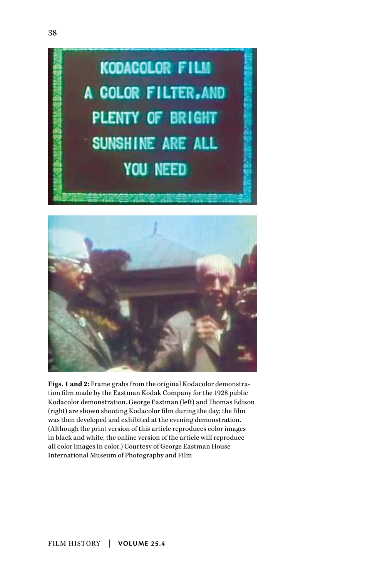



**Figs. 1 and 2:** Frame grabs from the original Kodacolor demonstration film made by the Eastman Kodak Company for the 1928 public Kodacolor demonstration. George Eastman (left) and Thomas Edison (right) are shown shooting Kodacolor film during the day; the film was then developed and exhibited at the evening demonstration. (Although the print version of this article reproduces color images in black and white, the online version of the article will reproduce all color images in color.) Courtesy of George Eastman House International Museum of Photography and Film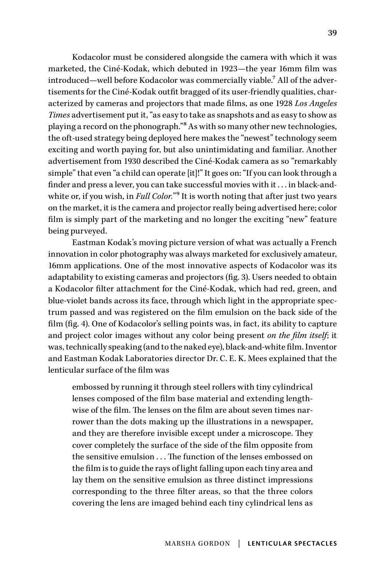Kodacolor must be considered alongside the camera with which it was marketed, the Ciné-Kodak, which debuted in 1923—the year 16mm film was introduced—well before Kodacolor was commercially viable.<sup>7</sup> All of the advertisements for the Ciné-Kodak outfit bragged of its user-friendly qualities, characterized by cameras and projectors that made films, as one 1928 *Los Angeles Times* advertisement put it, "as easy to take as snapshots and as easy to show as playing a record on the phonograph."8 As with so many other new technologies, the oft-used strategy being deployed here makes the "newest" technology seem exciting and worth paying for, but also unintimidating and familiar. Another advertisement from 1930 described the Ciné-Kodak camera as so "remarkably simple" that even "a child can operate [it]!" It goes on: "If you can look through a finder and press a lever, you can take successful movies with it . . . in black-andwhite or, if you wish, in *Full Color.*"<sup>9</sup> It is worth noting that after just two years on the market, it is the camera and projector really being advertised here; color film is simply part of the marketing and no longer the exciting "new" feature being purveyed.

Eastman Kodak's moving picture version of what was actually a French innovation in color photography was always marketed for exclusively amateur, 16mm applications. One of the most innovative aspects of Kodacolor was its adaptability to existing cameras and projectors (fig. 3). Users needed to obtain a Kodacolor filter attachment for the Ciné-Kodak, which had red, green, and blue-violet bands across its face, through which light in the appropriate spectrum passed and was registered on the film emulsion on the back side of the film (fig. 4). One of Kodacolor's selling points was, in fact, its ability to capture and project color images without any color being present *on the film itself*; it was, technically speaking (and to the naked eye), black-and-white film. Inventor and Eastman Kodak Laboratories director Dr. C. E. K. Mees explained that the lenticular surface of the film was

embossed by running it through steel rollers with tiny cylindrical lenses composed of the film base material and extending lengthwise of the film. The lenses on the film are about seven times narrower than the dots making up the illustrations in a newspaper, and they are therefore invisible except under a microscope. They cover completely the surface of the side of the film opposite from the sensitive emulsion . . . The function of the lenses embossed on the film is to guide the rays of light falling upon each tiny area and lay them on the sensitive emulsion as three distinct impressions corresponding to the three filter areas, so that the three colors covering the lens are imaged behind each tiny cylindrical lens as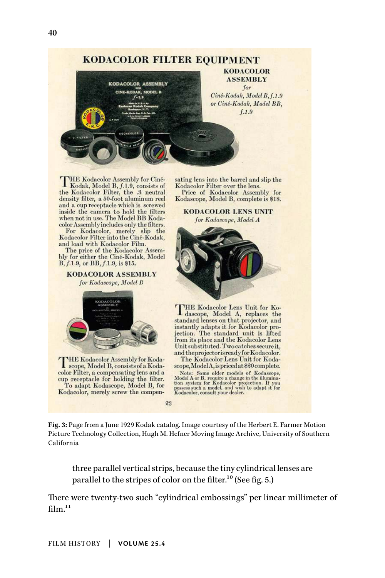

**HE Kodacolor Assembly for Ciné-**Kodak, Model B, f.1.9, consists of the Kodacolor Filter, the .3 neutral density filter, a 50-foot aluminum reel and a cup receptacle which is screwed inside the camera to hold the filters when not in use. The Model BB Kodacolor Assembly includes only the filters.

For Kodacolor, merely slip the Kodacolor Filter into the Ciné-Kodak, and load with Kodacolor Film.

The price of the Kodacolor Assembly for either the Ciné-Kodak, Model B, f.1.9, or BB, f.1.9, is \$15.

**KODACOLOR ASSEMBLY** for Kodascope, Model B

![](_page_5_Picture_5.jpeg)

THE Kodacolor Assembly for Koda-<br>scope, Model B, consists of a Kodacolor Filter, a compensating lens and a cup receptacle for holding the filter.<br>To adapt Kodascope, Model B, for Kodacolor, merely screw the compensating lens into the barrel and slip the Kodacolor Filter over the lens. Price of Kodacolor Assembly for Kodascope, Model B, complete is \$18.

**KODACOLOR LENS UNIT** for Kodascope, Model A

![](_page_5_Picture_9.jpeg)

THE Kodacolor Lens Unit for Kodascope, Model A, replaces the standard lenses on that projector, and instantly adapts it for Kodacolor pro-<br>jection. The standard unit is lifted from its place and the Kodacolor Lens Unit substituted. Two catches secure it, and the projector is ready for Kodacolor.

The Kodacolor Lens Unit for Kodascope, Model A, is priced at \$20 complete.

Note: Some older models of Kodascope,<br>Model A or B, require a change in the illumina-<br>tion system for Kodascolor projection. If you<br>possess such a model, and wish to adapt it for<br>Kodacolor, consult your dealer.

**Fig. 3:** Page from a June 1929 Kodak catalog. Image courtesy of the Herbert E. Farmer Motion Picture Technology Collection, Hugh M. Hefner Moving Image Archive, University of Southern California

23

three parallel vertical strips, because the tiny cylindrical lenses are parallel to the stripes of color on the filter.<sup>10</sup> (See fig. 5.)

There were twenty-two such "cylindrical embossings" per linear millimeter of  $film<sup>11</sup>$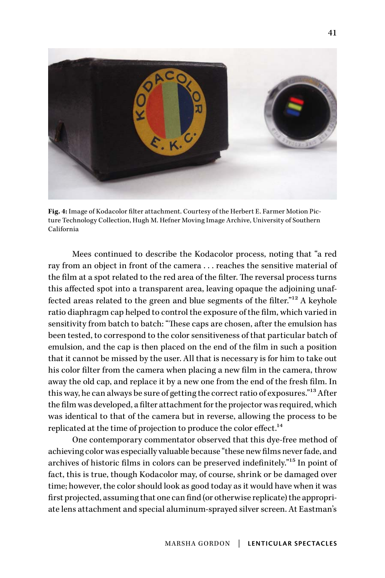![](_page_6_Picture_0.jpeg)

**Fig. 4:** Image of Kodacolor filter attachment. Courtesy of the Herbert E. Farmer Motion Picture Technology Collection, Hugh M. Hefner Moving Image Archive, University of Southern California

Mees continued to describe the Kodacolor process, noting that "a red ray from an object in front of the camera . . . reaches the sensitive material of the film at a spot related to the red area of the filter. The reversal process turns this affected spot into a transparent area, leaving opaque the adjoining unaffected areas related to the green and blue segments of the filter."12 A keyhole ratio diaphragm cap helped to control the exposure of the film, which varied in sensitivity from batch to batch: "These caps are chosen, after the emulsion has been tested, to correspond to the color sensitiveness of that particular batch of emulsion, and the cap is then placed on the end of the film in such a position that it cannot be missed by the user. All that is necessary is for him to take out his color filter from the camera when placing a new film in the camera, throw away the old cap, and replace it by a new one from the end of the fresh film. In this way, he can always be sure of getting the correct ratio of exposures."<sup>13</sup> After the film was developed, a filter attachment for the projector was required, which was identical to that of the camera but in reverse, allowing the process to be replicated at the time of projection to produce the color effect.<sup>14</sup>

One contemporary commentator observed that this dye-free method of achieving color was especially valuable because "these new films never fade, and archives of historic films in colors can be preserved indefinitely."15 In point of fact, this is true, though Kodacolor may, of course, shrink or be damaged over time; however, the color should look as good today as it would have when it was first projected, assuming that one can find (or otherwise replicate) the appropriate lens attachment and special aluminum-sprayed silver screen. At Eastman's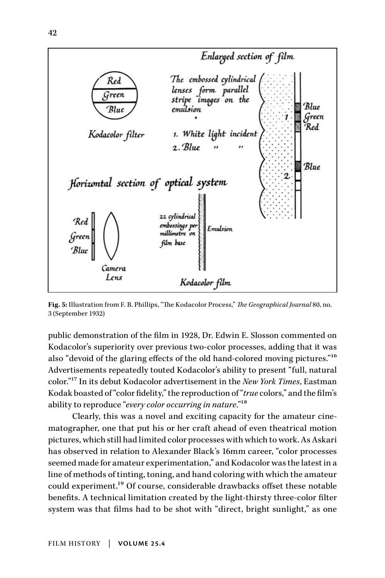![](_page_7_Figure_1.jpeg)

**Fig. 5:** Illustration from F. B. Phillips, "The Kodacolor Process," *The Geographical Journal* 80, no. 3 (September 1932)

public demonstration of the film in 1928, Dr. Edwin E. Slosson commented on Kodacolor's superiority over previous two-color processes, adding that it was also "devoid of the glaring effects of the old hand-colored moving pictures."16 Advertisements repeatedly touted Kodacolor's ability to present "full, natural color."17 In its debut Kodacolor advertisement in the *New York Times*, Eastman Kodak boasted of "color fidelity," the reproduction of "*true* colors," and the film's ability to reproduce "*every color occurring in nature*."18

Clearly, this was a novel and exciting capacity for the amateur cinematographer, one that put his or her craft ahead of even theatrical motion pictures, which still had limited color processes with which to work. As Askari has observed in relation to Alexander Black's 16mm career, "color processes seemed made for amateur experimentation," and Kodacolor was the latest in a line of methods of tinting, toning, and hand coloring with which the amateur could experiment.<sup>19</sup> Of course, considerable drawbacks offset these notable benefits. A technical limitation created by the light-thirsty three-color filter system was that films had to be shot with "direct, bright sunlight," as one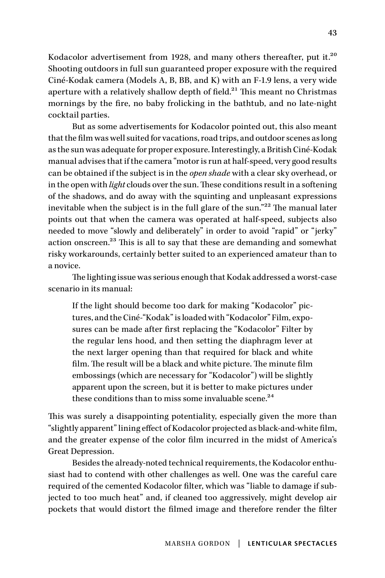Kodacolor advertisement from 1928, and many others thereafter, put it.<sup>20</sup> Shooting outdoors in full sun guaranteed proper exposure with the required Ciné-Kodak camera (Models A, B, BB, and K) with an F-1.9 lens, a very wide aperture with a relatively shallow depth of field. $^{21}$  This meant no Christmas mornings by the fire, no baby frolicking in the bathtub, and no late-night cocktail parties.

But as some advertisements for Kodacolor pointed out, this also meant that the film was well suited for vacations, road trips, and outdoor scenes as long as the sun was adequate for proper exposure. Interestingly, a British Ciné-Kodak manual advises that if the camera "motor is run at half-speed, very good results can be obtained if the subject is in the *open shade* with a clear sky overhead, or in the open with *light* clouds over the sun. These conditions result in a softening of the shadows, and do away with the squinting and unpleasant expressions inevitable when the subject is in the full glare of the sun."<sup>22</sup> The manual later points out that when the camera was operated at half-speed, subjects also needed to move "slowly and deliberately" in order to avoid "rapid" or "jerky" action onscreen.<sup>23</sup> This is all to say that these are demanding and somewhat risky workarounds, certainly better suited to an experienced amateur than to a novice.

The lighting issue was serious enough that Kodak addressed a worst-case scenario in its manual:

If the light should become too dark for making "Kodacolor" pictures, and the Ciné-"Kodak" is loaded with "Kodacolor" Film, exposures can be made after first replacing the "Kodacolor" Filter by the regular lens hood, and then setting the diaphragm lever at the next larger opening than that required for black and white film. The result will be a black and white picture. The minute film embossings (which are necessary for "Kodacolor") will be slightly apparent upon the screen, but it is better to make pictures under these conditions than to miss some invaluable scene.<sup>24</sup>

This was surely a disappointing potentiality, especially given the more than "slightly apparent" lining effect of Kodacolor projected as black-and-white film, and the greater expense of the color film incurred in the midst of America's Great Depression.

Besides the already-noted technical requirements, the Kodacolor enthusiast had to contend with other challenges as well. One was the careful care required of the cemented Kodacolor filter, which was "liable to damage if subjected to too much heat" and, if cleaned too aggressively, might develop air pockets that would distort the filmed image and therefore render the filter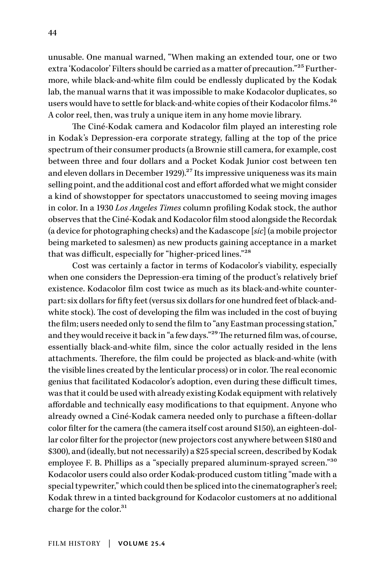unusable. One manual warned, "When making an extended tour, one or two extra 'Kodacolor' Filters should be carried as a matter of precaution."<sup>25</sup> Furthermore, while black-and-white film could be endlessly duplicated by the Kodak lab, the manual warns that it was impossible to make Kodacolor duplicates, so users would have to settle for black-and-white copies of their Kodacolor films.<sup>26</sup> A color reel, then, was truly a unique item in any home movie library.

The Ciné-Kodak camera and Kodacolor film played an interesting role in Kodak's Depression-era corporate strategy, falling at the top of the price spectrum of their consumer products (a Brownie still camera, for example, cost between three and four dollars and a Pocket Kodak Junior cost between ten and eleven dollars in December 1929).<sup>27</sup> Its impressive uniqueness was its main selling point, and the additional cost and effort afforded what we might consider a kind of showstopper for spectators unaccustomed to seeing moving images in color. In a 1930 *Los Angeles Times* column profiling Kodak stock, the author observes that the Ciné-Kodak and Kodacolor film stood alongside the Recordak (a device for photographing checks) and the Kadascope [*sic*] (a mobile projector being marketed to salesmen) as new products gaining acceptance in a market that was difficult, especially for "higher-priced lines."28

Cost was certainly a factor in terms of Kodacolor's viability, especially when one considers the Depression-era timing of the product's relatively brief existence. Kodacolor film cost twice as much as its black-and-white counterpart: six dollars for fifty feet (versus six dollars for one hundred feet of black-andwhite stock). The cost of developing the film was included in the cost of buying the film; users needed only to send the film to "any Eastman processing station," and they would receive it back in "a few days."29 The returned film was, of course, essentially black-and-white film, since the color actually resided in the lens attachments. Therefore, the film could be projected as black-and-white (with the visible lines created by the lenticular process) or in color. The real economic genius that facilitated Kodacolor's adoption, even during these difficult times, was that it could be used with already existing Kodak equipment with relatively affordable and technically easy modifications to that equipment. Anyone who already owned a Ciné-Kodak camera needed only to purchase a fifteen-dollar color filter for the camera (the camera itself cost around \$150), an eighteen-dollar color filter for the projector (new projectors cost anywhere between \$180 and \$300), and (ideally, but not necessarily) a \$25 special screen, described by Kodak employee F. B. Phillips as a "specially prepared aluminum-sprayed screen."<sup>30</sup> Kodacolor users could also order Kodak-produced custom titling "made with a special typewriter," which could then be spliced into the cinematographer's reel; Kodak threw in a tinted background for Kodacolor customers at no additional charge for the color.<sup>31</sup>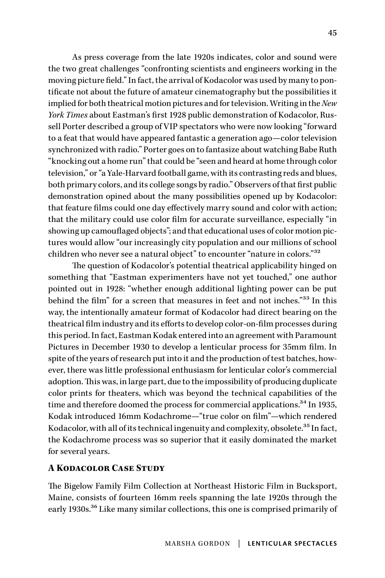As press coverage from the late 1920s indicates, color and sound were the two great challenges "confronting scientists and engineers working in the moving picture field." In fact, the arrival of Kodacolor was used by many to pontificate not about the future of amateur cinematography but the possibilities it implied for both theatrical motion pictures and for television. Writing in the *New York Times* about Eastman's first 1928 public demonstration of Kodacolor, Russell Porter described a group of VIP spectators who were now looking "forward to a feat that would have appeared fantastic a generation ago—color television synchronized with radio." Porter goes on to fantasize about watching Babe Ruth "knocking out a home run" that could be "seen and heard at home through color television," or "a Yale-Harvard football game, with its contrasting reds and blues, both primary colors, and its college songs by radio." Observers of that first public demonstration opined about the many possibilities opened up by Kodacolor: that feature films could one day effectively marry sound and color with action; that the military could use color film for accurate surveillance, especially "in showing up camouflaged objects"; and that educational uses of color motion pictures would allow "our increasingly city population and our millions of school children who never see a natural object" to encounter "nature in colors."<sup>32</sup>

The question of Kodacolor's potential theatrical applicability hinged on something that "Eastman experimenters have not yet touched," one author pointed out in 1928: "whether enough additional lighting power can be put behind the film" for a screen that measures in feet and not inches."33 In this way, the intentionally amateur format of Kodacolor had direct bearing on the theatrical film industry and its efforts to develop color-on-film processes during this period. In fact, Eastman Kodak entered into an agreement with Paramount Pictures in December 1930 to develop a lenticular process for 35mm film. In spite of the years of research put into it and the production of test batches, however, there was little professional enthusiasm for lenticular color's commercial adoption. This was, in large part, due to the impossibility of producing duplicate color prints for theaters, which was beyond the technical capabilities of the time and therefore doomed the process for commercial applications.<sup>34</sup> In 1935, Kodak introduced 16mm Kodachrome—"true color on film"—which rendered Kodacolor, with all of its technical ingenuity and complexity, obsolete.<sup>35</sup> In fact, the Kodachrome process was so superior that it easily dominated the market for several years.

## **A Kodacolor Case Study**

The Bigelow Family Film Collection at Northeast Historic Film in Bucksport, Maine, consists of fourteen 16mm reels spanning the late 1920s through the early 1930s.<sup>36</sup> Like many similar collections, this one is comprised primarily of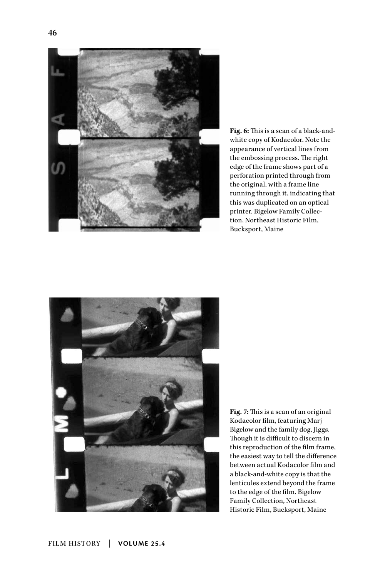![](_page_11_Picture_0.jpeg)

**Fig. 6:** This is a scan of a black-andwhite copy of Kodacolor. Note the appearance of vertical lines from the embossing process. The right edge of the frame shows part of a perforation printed through from the original, with a frame line running through it, indicating that this was duplicated on an optical printer. Bigelow Family Collection, Northeast Historic Film, Bucksport, Maine

![](_page_11_Picture_2.jpeg)

**Fig. 7:** This is a scan of an original Kodacolor film, featuring Marj Bigelow and the family dog, Jiggs. Though it is difficult to discern in this reproduction of the film frame, the easiest way to tell the difference between actual Kodacolor film and a black-and-white copy is that the lenticules extend beyond the frame to the edge of the film. Bigelow Family Collection, Northeast Historic Film, Bucksport, Maine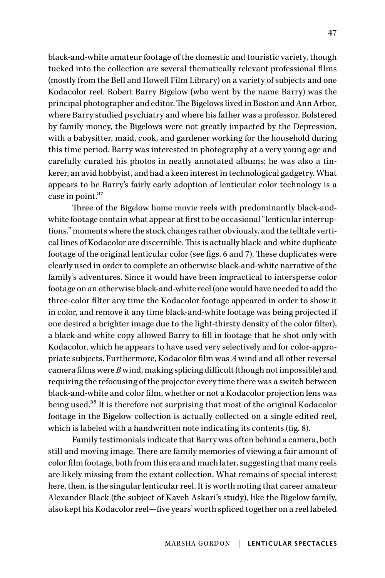black-and-white amateur footage of the domestic and touristic variety, though tucked into the collection are several thematically relevant professional films (mostly from the Bell and Howell Film Library) on a variety of subjects and one Kodacolor reel. Robert Barry Bigelow (who went by the name Barry) was the principal photographer and editor. The Bigelows lived in Boston and Ann Arbor, where Barry studied psychiatry and where his father was a professor. Bolstered by family money, the Bigelows were not greatly impacted by the Depression, with a babysitter, maid, cook, and gardener working for the household during this time period. Barry was interested in photography at a very young age and carefully curated his photos in neatly annotated albums; he was also a tinkerer, an avid hobbyist, and had a keen interest in technological gadgetry. What appears to be Barry's fairly early adoption of lenticular color technology is a case in point.<sup>37</sup>

Three of the Bigelow home movie reels with predominantly black-andwhite footage contain what appear at first to be occasional "lenticular interruptions," moments where the stock changes rather obviously, and the telltale vertical lines of Kodacolor are discernible. This is actually black-and-white duplicate footage of the original lenticular color (see figs. 6 and 7). These duplicates were clearly used in order to complete an otherwise black-and-white narrative of the family's adventures. Since it would have been impractical to intersperse color footage on an otherwise black-and-white reel (one would have needed to add the three-color filter any time the Kodacolor footage appeared in order to show it in color, and remove it any time black-and-white footage was being projected if one desired a brighter image due to the light-thirsty density of the color filter), a black-and-white copy allowed Barry to fill in footage that he shot only with Kodacolor, which he appears to have used very selectively and for color-appropriate subjects. Furthermore, Kodacolor film was *A* wind and all other reversal camera films were *B* wind, making splicing difficult (though not impossible) and requiring the refocusing of the projector every time there was a switch between black-and-white and color film, whether or not a Kodacolor projection lens was being used.<sup>38</sup> It is therefore not surprising that most of the original Kodacolor footage in the Bigelow collection is actually collected on a single edited reel, which is labeled with a handwritten note indicating its contents (fig. 8).

Family testimonials indicate that Barry was often behind a camera, both still and moving image. There are family memories of viewing a fair amount of color film footage, both from this era and much later, suggesting that many reels are likely missing from the extant collection. What remains of special interest here, then, is the singular lenticular reel. It is worth noting that career amateur Alexander Black (the subject of Kaveh Askari's study), like the Bigelow family, also kept his Kodacolor reel—five years' worth spliced together on a reel labeled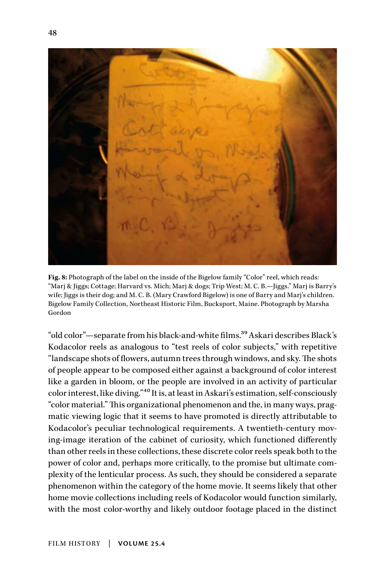![](_page_13_Picture_0.jpeg)

**Fig. 8:** Photograph of the label on the inside of the Bigelow family "Color" reel, which reads: "Marj & Jiggs; Cottage; Harvard vs. Mich; Marj & dogs; Trip West; M. C. B.—Jiggs." Marj is Barry's wife; Jiggs is their dog; and M. C. B. (Mary Crawford Bigelow) is one of Barry and Marj's children. Bigelow Family Collection, Northeast Historic Film, Bucksport, Maine. Photograph by Marsha Gordon

"old color"—separate from his black-and-white films.39 Askari describes Black's Kodacolor reels as analogous to "test reels of color subjects," with repetitive "landscape shots of flowers, autumn trees through windows, and sky. The shots of people appear to be composed either against a background of color interest like a garden in bloom, or the people are involved in an activity of particular color interest, like diving."40 It is, at least in Askari's estimation, self-consciously "color material." This organizational phenomenon and the, in many ways, pragmatic viewing logic that it seems to have promoted is directly attributable to Kodacolor's peculiar technological requirements. A twentieth-century moving-image iteration of the cabinet of curiosity, which functioned differently than other reels in these collections, these discrete color reels speak both to the power of color and, perhaps more critically, to the promise but ultimate complexity of the lenticular process. As such, they should be considered a separate phenomenon within the category of the home movie. It seems likely that other home movie collections including reels of Kodacolor would function similarly, with the most color-worthy and likely outdoor footage placed in the distinct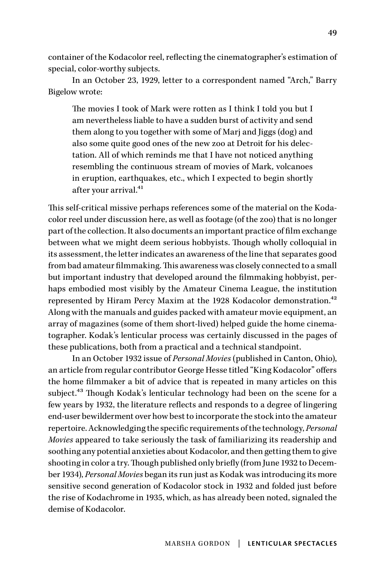container of the Kodacolor reel, reflecting the cinematographer's estimation of special, color-worthy subjects.

In an October 23, 1929, letter to a correspondent named "Arch," Barry Bigelow wrote:

The movies I took of Mark were rotten as I think I told you but I am nevertheless liable to have a sudden burst of activity and send them along to you together with some of Marj and Jiggs (dog) and also some quite good ones of the new zoo at Detroit for his delectation. All of which reminds me that I have not noticed anything resembling the continuous stream of movies of Mark, volcanoes in eruption, earthquakes, etc., which I expected to begin shortly after your arrival.<sup>41</sup>

This self-critical missive perhaps references some of the material on the Kodacolor reel under discussion here, as well as footage (of the zoo) that is no longer part of the collection. It also documents an important practice of film exchange between what we might deem serious hobbyists. Though wholly colloquial in its assessment, the letter indicates an awareness of the line that separates good from bad amateur filmmaking. This awareness was closely connected to a small but important industry that developed around the filmmaking hobbyist, perhaps embodied most visibly by the Amateur Cinema League, the institution represented by Hiram Percy Maxim at the 1928 Kodacolor demonstration.<sup>42</sup> Along with the manuals and guides packed with amateur movie equipment, an array of magazines (some of them short-lived) helped guide the home cinematographer. Kodak's lenticular process was certainly discussed in the pages of these publications, both from a practical and a technical standpoint.

In an October 1932 issue of *Personal Movies* (published in Canton, Ohio), an article from regular contributor George Hesse titled "King Kodacolor" offers the home filmmaker a bit of advice that is repeated in many articles on this subject.<sup>43</sup> Though Kodak's lenticular technology had been on the scene for a few years by 1932, the literature reflects and responds to a degree of lingering end-user bewilderment over how best to incorporate the stock into the amateur repertoire. Acknowledging the specific requirements of the technology, *Personal Movies* appeared to take seriously the task of familiarizing its readership and soothing any potential anxieties about Kodacolor, and then getting them to give shooting in color a try. Though published only briefly (from June 1932 to December 1934), *Personal Movies* began its run just as Kodak was introducing its more sensitive second generation of Kodacolor stock in 1932 and folded just before the rise of Kodachrome in 1935, which, as has already been noted, signaled the demise of Kodacolor.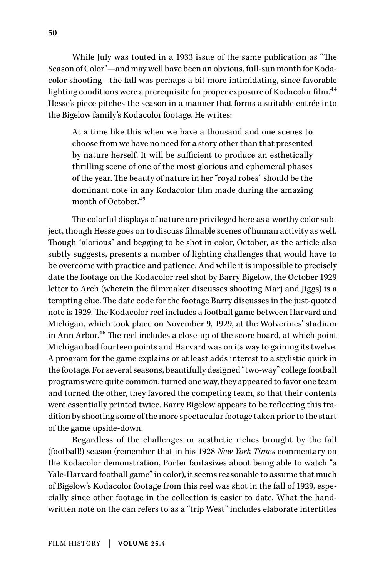While July was touted in a 1933 issue of the same publication as "The Season of Color"—and may well have been an obvious, full-sun month for Kodacolor shooting—the fall was perhaps a bit more intimidating, since favorable lighting conditions were a prerequisite for proper exposure of Kodacolor film.<sup>44</sup> Hesse's piece pitches the season in a manner that forms a suitable entrée into the Bigelow family's Kodacolor footage. He writes:

At a time like this when we have a thousand and one scenes to choose from we have no need for a story other than that presented by nature herself. It will be sufficient to produce an esthetically thrilling scene of one of the most glorious and ephemeral phases of the year. The beauty of nature in her "royal robes" should be the dominant note in any Kodacolor film made during the amazing month of October.<sup>45</sup>

The colorful displays of nature are privileged here as a worthy color subject, though Hesse goes on to discuss filmable scenes of human activity as well. Though "glorious" and begging to be shot in color, October, as the article also subtly suggests, presents a number of lighting challenges that would have to be overcome with practice and patience. And while it is impossible to precisely date the footage on the Kodacolor reel shot by Barry Bigelow, the October 1929 letter to Arch (wherein the filmmaker discusses shooting Marj and Jiggs) is a tempting clue. The date code for the footage Barry discusses in the just-quoted note is 1929. The Kodacolor reel includes a football game between Harvard and Michigan, which took place on November 9, 1929, at the Wolverines' stadium in Ann Arbor.<sup>46</sup> The reel includes a close-up of the score board, at which point Michigan had fourteen points and Harvard was on its way to gaining its twelve. A program for the game explains or at least adds interest to a stylistic quirk in the footage. For several seasons, beautifully designed "two-way" college football programs were quite common: turned one way, they appeared to favor one team and turned the other, they favored the competing team, so that their contents were essentially printed twice. Barry Bigelow appears to be reflecting this tradition by shooting some of the more spectacular footage taken prior to the start of the game upside-down.

Regardless of the challenges or aesthetic riches brought by the fall (football!) season (remember that in his 1928 *New York Times* commentary on the Kodacolor demonstration, Porter fantasizes about being able to watch "a Yale-Harvard football game" in color), it seems reasonable to assume that much of Bigelow's Kodacolor footage from this reel was shot in the fall of 1929, especially since other footage in the collection is easier to date. What the handwritten note on the can refers to as a "trip West" includes elaborate intertitles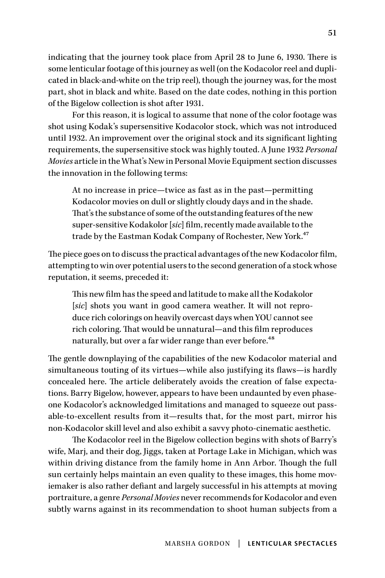indicating that the journey took place from April 28 to June 6, 1930. There is some lenticular footage of this journey as well (on the Kodacolor reel and duplicated in black-and-white on the trip reel), though the journey was, for the most part, shot in black and white. Based on the date codes, nothing in this portion of the Bigelow collection is shot after 1931.

For this reason, it is logical to assume that none of the color footage was shot using Kodak's supersensitive Kodacolor stock, which was not introduced until 1932. An improvement over the original stock and its significant lighting requirements, the supersensitive stock was highly touted. A June 1932 *Personal Movies* article in the What's New in Personal Movie Equipment section discusses the innovation in the following terms:

At no increase in price—twice as fast as in the past—permitting Kodacolor movies on dull or slightly cloudy days and in the shade. That's the substance of some of the outstanding features of the new super-sensitive Kodakolor [*sic*] film, recently made available to the trade by the Eastman Kodak Company of Rochester, New York.<sup>47</sup>

The piece goes on to discuss the practical advantages of the new Kodacolor film, attempting to win over potential users to the second generation of a stock whose reputation, it seems, preceded it:

This new film has the speed and latitude to make all the Kodakolor [*sic*] shots you want in good camera weather. It will not reproduce rich colorings on heavily overcast days when YOU cannot see rich coloring. That would be unnatural—and this film reproduces naturally, but over a far wider range than ever before.<sup>48</sup>

The gentle downplaying of the capabilities of the new Kodacolor material and simultaneous touting of its virtues—while also justifying its flaws—is hardly concealed here. The article deliberately avoids the creation of false expectations. Barry Bigelow, however, appears to have been undaunted by even phaseone Kodacolor's acknowledged limitations and managed to squeeze out passable-to-excellent results from it—results that, for the most part, mirror his non-Kodacolor skill level and also exhibit a savvy photo-cinematic aesthetic.

The Kodacolor reel in the Bigelow collection begins with shots of Barry's wife, Marj, and their dog, Jiggs, taken at Portage Lake in Michigan, which was within driving distance from the family home in Ann Arbor. Though the full sun certainly helps maintain an even quality to these images, this home moviemaker is also rather defiant and largely successful in his attempts at moving portraiture, a genre *Personal Movies* never recommends for Kodacolor and even subtly warns against in its recommendation to shoot human subjects from a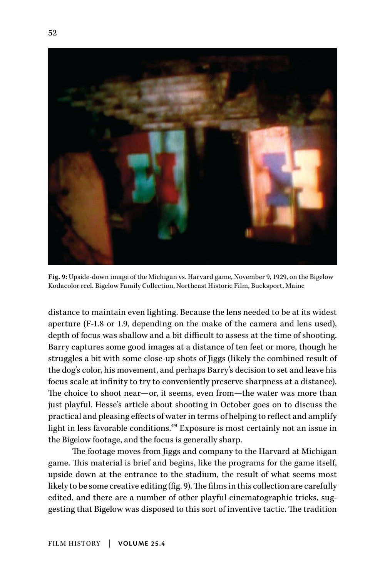![](_page_17_Picture_0.jpeg)

**Fig. 9:** Upside-down image of the Michigan vs. Harvard game, November 9, 1929, on the Bigelow Kodacolor reel. Bigelow Family Collection, Northeast Historic Film, Bucksport, Maine

distance to maintain even lighting. Because the lens needed to be at its widest aperture (F-1.8 or 1.9, depending on the make of the camera and lens used), depth of focus was shallow and a bit difficult to assess at the time of shooting. Barry captures some good images at a distance of ten feet or more, though he struggles a bit with some close-up shots of Jiggs (likely the combined result of the dog's color, his movement, and perhaps Barry's decision to set and leave his focus scale at infinity to try to conveniently preserve sharpness at a distance). The choice to shoot near—or, it seems, even from—the water was more than just playful. Hesse's article about shooting in October goes on to discuss the practical and pleasing effects of water in terms of helping to reflect and amplify light in less favorable conditions.<sup>49</sup> Exposure is most certainly not an issue in the Bigelow footage, and the focus is generally sharp.

The footage moves from Jiggs and company to the Harvard at Michigan game. This material is brief and begins, like the programs for the game itself, upside down at the entrance to the stadium, the result of what seems most likely to be some creative editing (fig. 9). The films in this collection are carefully edited, and there are a number of other playful cinematographic tricks, suggesting that Bigelow was disposed to this sort of inventive tactic. The tradition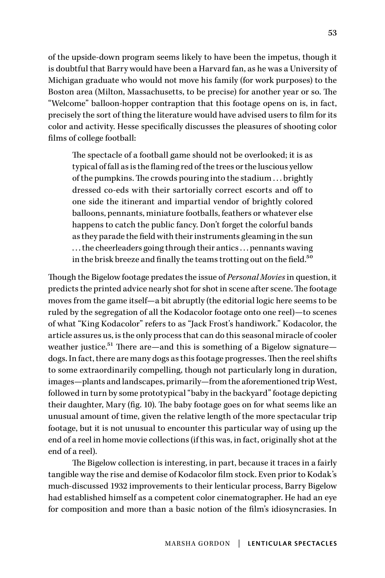of the upside-down program seems likely to have been the impetus, though it is doubtful that Barry would have been a Harvard fan, as he was a University of Michigan graduate who would not move his family (for work purposes) to the Boston area (Milton, Massachusetts, to be precise) for another year or so. The "Welcome" balloon-hopper contraption that this footage opens on is, in fact, precisely the sort of thing the literature would have advised users to film for its color and activity. Hesse specifically discusses the pleasures of shooting color films of college football:

The spectacle of a football game should not be overlooked; it is as typical of fall as is the flaming red of the trees or the luscious yellow of the pumpkins. The crowds pouring into the stadium . . . brightly dressed co-eds with their sartorially correct escorts and off to one side the itinerant and impartial vendor of brightly colored balloons, pennants, miniature footballs, feathers or whatever else happens to catch the public fancy. Don't forget the colorful bands as they parade the field with their instruments gleaming in the sun . . . the cheerleaders going through their antics . . . pennants waving in the brisk breeze and finally the teams trotting out on the field.<sup>50</sup>

Though the Bigelow footage predates the issue of *Personal Movies* in question, it predicts the printed advice nearly shot for shot in scene after scene. The footage moves from the game itself—a bit abruptly (the editorial logic here seems to be ruled by the segregation of all the Kodacolor footage onto one reel)—to scenes of what "King Kodacolor" refers to as "Jack Frost's handiwork." Kodacolor, the article assures us, is the only process that can do this seasonal miracle of cooler weather justice.<sup>51</sup> There are—and this is something of a Bigelow signature dogs. In fact, there are many dogs as this footage progresses. Then the reel shifts to some extraordinarily compelling, though not particularly long in duration, images—plants and landscapes, primarily—from the aforementioned trip West, followed in turn by some prototypical "baby in the backyard" footage depicting their daughter, Mary (fig. 10). The baby footage goes on for what seems like an unusual amount of time, given the relative length of the more spectacular trip footage, but it is not unusual to encounter this particular way of using up the end of a reel in home movie collections (if this was, in fact, originally shot at the end of a reel).

The Bigelow collection is interesting, in part, because it traces in a fairly tangible way the rise and demise of Kodacolor film stock. Even prior to Kodak's much-discussed 1932 improvements to their lenticular process, Barry Bigelow had established himself as a competent color cinematographer. He had an eye for composition and more than a basic notion of the film's idiosyncrasies. In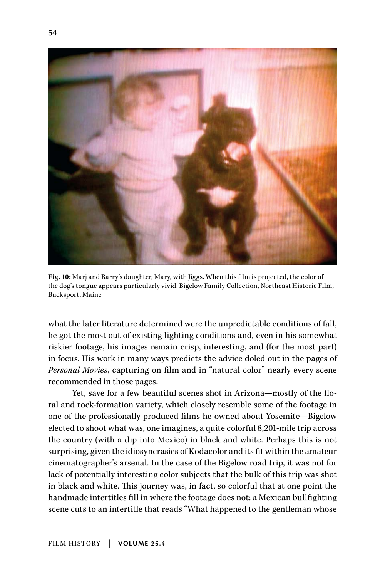![](_page_19_Picture_0.jpeg)

**Fig. 10:** Marj and Barry's daughter, Mary, with Jiggs. When this film is projected, the color of the dog's tongue appears particularly vivid. Bigelow Family Collection, Northeast Historic Film, Bucksport, Maine

what the later literature determined were the unpredictable conditions of fall, he got the most out of existing lighting conditions and, even in his somewhat riskier footage, his images remain crisp, interesting, and (for the most part) in focus. His work in many ways predicts the advice doled out in the pages of *Personal Movies*, capturing on film and in "natural color" nearly every scene recommended in those pages.

Yet, save for a few beautiful scenes shot in Arizona—mostly of the floral and rock-formation variety, which closely resemble some of the footage in one of the professionally produced films he owned about Yosemite—Bigelow elected to shoot what was, one imagines, a quite colorful 8,201-mile trip across the country (with a dip into Mexico) in black and white. Perhaps this is not surprising, given the idiosyncrasies of Kodacolor and its fit within the amateur cinematographer's arsenal. In the case of the Bigelow road trip, it was not for lack of potentially interesting color subjects that the bulk of this trip was shot in black and white. This journey was, in fact, so colorful that at one point the handmade intertitles fill in where the footage does not: a Mexican bullfighting scene cuts to an intertitle that reads "What happened to the gentleman whose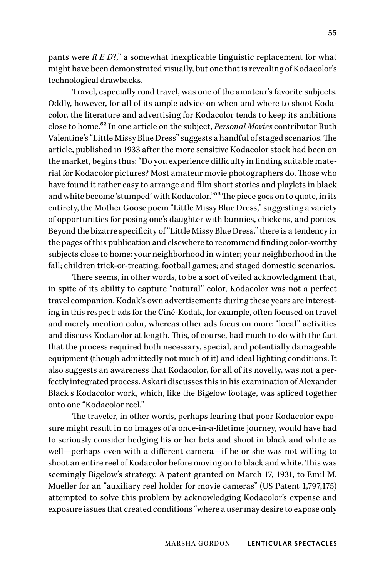pants were *R E D*?," a somewhat inexplicable linguistic replacement for what might have been demonstrated visually, but one that is revealing of Kodacolor's technological drawbacks.

Travel, especially road travel, was one of the amateur's favorite subjects. Oddly, however, for all of its ample advice on when and where to shoot Kodacolor, the literature and advertising for Kodacolor tends to keep its ambitions close to home.52 In one article on the subject, *Personal Movies* contributor Ruth Valentine's "Little Missy Blue Dress" suggests a handful of staged scenarios. The article, published in 1933 after the more sensitive Kodacolor stock had been on the market, begins thus: "Do you experience difficulty in finding suitable material for Kodacolor pictures? Most amateur movie photographers do. Those who have found it rather easy to arrange and film short stories and playlets in black and white become 'stumped' with Kodacolor."<sup>53</sup> The piece goes on to quote, in its entirety, the Mother Goose poem "Little Missy Blue Dress," suggesting a variety of opportunities for posing one's daughter with bunnies, chickens, and ponies. Beyond the bizarre specificity of "Little Missy Blue Dress," there is a tendency in the pages of this publication and elsewhere to recommend finding color-worthy subjects close to home: your neighborhood in winter; your neighborhood in the fall; children trick-or-treating; football games; and staged domestic scenarios.

There seems, in other words, to be a sort of veiled acknowledgment that, in spite of its ability to capture "natural" color, Kodacolor was not a perfect travel companion. Kodak's own advertisements during these years are interesting in this respect: ads for the Ciné-Kodak, for example, often focused on travel and merely mention color, whereas other ads focus on more "local" activities and discuss Kodacolor at length. This, of course, had much to do with the fact that the process required both necessary, special, and potentially damageable equipment (though admittedly not much of it) and ideal lighting conditions. It also suggests an awareness that Kodacolor, for all of its novelty, was not a perfectly integrated process. Askari discusses this in his examination of Alexander Black's Kodacolor work, which, like the Bigelow footage, was spliced together onto one "Kodacolor reel."

The traveler, in other words, perhaps fearing that poor Kodacolor exposure might result in no images of a once-in-a-lifetime journey, would have had to seriously consider hedging his or her bets and shoot in black and white as well—perhaps even with a different camera—if he or she was not willing to shoot an entire reel of Kodacolor before moving on to black and white. This was seemingly Bigelow's strategy. A patent granted on March 17, 1931, to Emil M. Mueller for an "auxiliary reel holder for movie cameras" (US Patent 1,797,175) attempted to solve this problem by acknowledging Kodacolor's expense and exposure issues that created conditions "where a user may desire to expose only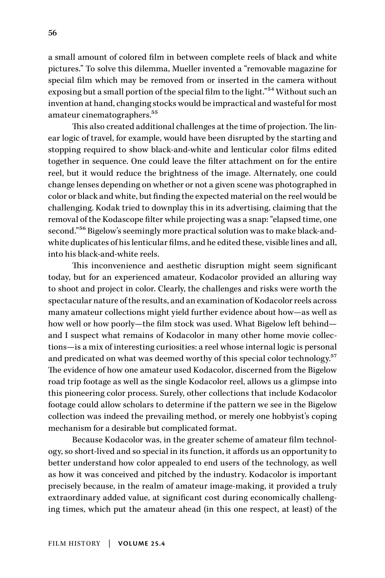a small amount of colored film in between complete reels of black and white pictures." To solve this dilemma, Mueller invented a "removable magazine for special film which may be removed from or inserted in the camera without exposing but a small portion of the special film to the light."<sup>54</sup> Without such an invention at hand, changing stocks would be impractical and wasteful for most amateur cinematographers.<sup>55</sup>

This also created additional challenges at the time of projection. The linear logic of travel, for example, would have been disrupted by the starting and stopping required to show black-and-white and lenticular color films edited together in sequence. One could leave the filter attachment on for the entire reel, but it would reduce the brightness of the image. Alternately, one could change lenses depending on whether or not a given scene was photographed in color or black and white, but finding the expected material on the reel would be challenging. Kodak tried to downplay this in its advertising, claiming that the removal of the Kodascope filter while projecting was a snap: "elapsed time, one second."56 Bigelow's seemingly more practical solution was to make black-andwhite duplicates of his lenticular films, and he edited these, visible lines and all, into his black-and-white reels.

This inconvenience and aesthetic disruption might seem significant today, but for an experienced amateur, Kodacolor provided an alluring way to shoot and project in color. Clearly, the challenges and risks were worth the spectacular nature of the results, and an examination of Kodacolor reels across many amateur collections might yield further evidence about how—as well as how well or how poorly—the film stock was used. What Bigelow left behind and I suspect what remains of Kodacolor in many other home movie collections—is a mix of interesting curiosities: a reel whose internal logic is personal and predicated on what was deemed worthy of this special color technology.<sup>57</sup> The evidence of how one amateur used Kodacolor, discerned from the Bigelow road trip footage as well as the single Kodacolor reel, allows us a glimpse into this pioneering color process. Surely, other collections that include Kodacolor footage could allow scholars to determine if the pattern we see in the Bigelow collection was indeed the prevailing method, or merely one hobbyist's coping mechanism for a desirable but complicated format.

Because Kodacolor was, in the greater scheme of amateur film technology, so short-lived and so special in its function, it affords us an opportunity to better understand how color appealed to end users of the technology, as well as how it was conceived and pitched by the industry. Kodacolor is important precisely because, in the realm of amateur image-making, it provided a truly extraordinary added value, at significant cost during economically challenging times, which put the amateur ahead (in this one respect, at least) of the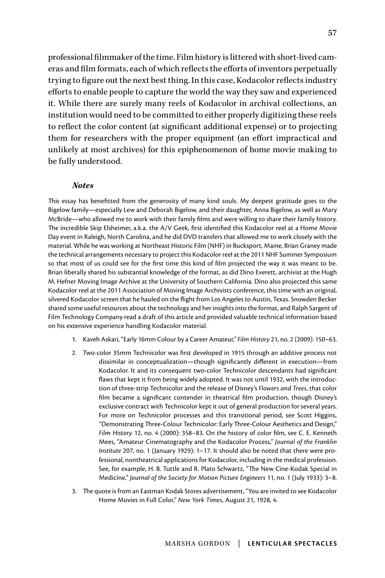professional filmmaker of the time. Film history is littered with short-lived cameras and film formats, each of which reflects the efforts of inventors perpetually trying to figure out the next best thing. In this case, Kodacolor reflects industry efforts to enable people to capture the world the way they saw and experienced it. While there are surely many reels of Kodacolor in archival collections, an institution would need to be committed to either properly digitizing these reels to reflect the color content (at significant additional expense) or to projecting them for researchers with the proper equipment (an effort impractical and unlikely at most archives) for this epiphenomenon of home movie making to be fully understood.

#### *Notes*

This essay has benefitted from the generosity of many kind souls. My deepest gratitude goes to the Bigelow family—especially Lew and Deborah Bigelow, and their daughter, Anna Bigelow, as well as Mary McBride—who allowed me to work with their family films and were willing to share their family history. The incredible Skip Elsheimer, a.k.a. the A/V Geek, first identified this Kodacolor reel at a Home Movie Day event in Raleigh, North Carolina, and he did DVD transfers that allowed me to work closely with the material. While he was working at Northeast Historic Film (NHF) in Bucksport, Maine, Brian Graney made the technical arrangements necessary to project this Kodacolor reel at the 2011 NHF Summer Symposium so that most of us could see for the first time this kind of film projected the way it was meant to be. Brian liberally shared his substantial knowledge of the format, as did Dino Everett, archivist at the Hugh M. Hefner Moving Image Archive at the University of Southern California. Dino also projected this same Kodacolor reel at the 2011 Association of Moving Image Archivists conference, this time with an original, silvered Kodacolor screen that he hauled on the flight from Los Angeles to Austin, Texas. Snowden Becker shared some useful resources about the technology and her insights into the format, and Ralph Sargent of Film Technology Company read a draft of this article and provided valuable technical information based on his extensive experience handling Kodacolor material.

- 1. Kaveh Askari, "Early 16mm Colour by a Career Amateur," *Film History* 21, no. 2 (2009): 150–63.
- 2. Two-color 35mm Technicolor was first developed in 1915 through an additive process not dissimilar in conceptualization—though significantly different in execution—from Kodacolor. It and its consequent two-color Technicolor descendants had significant flaws that kept it from being widely adopted. It was not until 1932, with the introduction of three-strip Technicolor and the release of Disney's *Flowers and Trees*, that color film became a significant contender in theatrical film production, though Disney's exclusive contract with Technicolor kept it out of general production for several years. For more on Technicolor processes and this transitional period, see Scott Higgins, "Demonstrating Three-Colour Technicolor: Early Three-Colour Aesthetics and Design," *Film History* 12, no. 4 (2000): 358–83. On the history of color film, see C. E. Kenneth Mees, "Amateur Cinematography and the Kodacolor Process," *Journal of the Franklin Institute* 207, no. 1 (January 1929): 1–17. It should also be noted that there were professional, nontheatrical applications for Kodacolor, including in the medical profession. See, for example, H. B. Tuttle and R. Plato Schwartz, "The New Cine-Kodak Special in Medicine," *Journal of the Society for Motion Picture Engineers* 11, no. 1 (July 1933): 3–8.
- 3. The quote is from an Eastman Kodak Stores advertisement, "You are invited to see Kodacolor Home Movies in Full Color," *New York Times*, August 21, 1928, 4.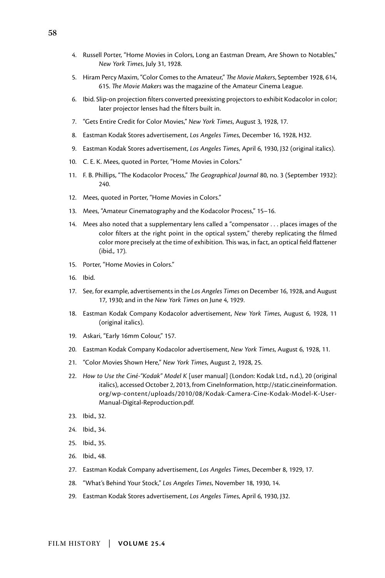- 4. Russell Porter, "Home Movies in Colors, Long an Eastman Dream, Are Shown to Notables," *New York Times*, July 31, 1928.
- 5. Hiram Percy Maxim, "Color Comes to the Amateur," *The Movie Makers*, September 1928, 614, 615. *The Movie Makers* was the magazine of the Amateur Cinema League.
- 6. Ibid. Slip-on projection filters converted preexisting projectors to exhibit Kodacolor in color; later projector lenses had the filters built in.
- 7. "Gets Entire Credit for Color Movies," *New York Times*, August 3, 1928, 17.
- 8. Eastman Kodak Stores advertisement, *Los Angeles Times*, December 16, 1928, H32.
- 9. Eastman Kodak Stores advertisement, *Los Angeles Times*, April 6, 1930, J32 (original italics).
- 10. C. E. K. Mees, quoted in Porter, "Home Movies in Colors."
- 11. F. B. Phillips, "The Kodacolor Process," *The Geographical Journal* 80, no. 3 (September 1932): 240.
- 12. Mees, quoted in Porter, "Home Movies in Colors."
- 13. Mees, "Amateur Cinematography and the Kodacolor Process," 15–16.
- 14. Mees also noted that a supplementary lens called a "compensator . . . places images of the color filters at the right point in the optical system," thereby replicating the filmed color more precisely at the time of exhibition. This was, in fact, an optical field flattener (ibid., 17).
- 15. Porter, "Home Movies in Colors."
- 16. Ibid.
- 17. See, for example, advertisements in the *Los Angeles Times* on December 16, 1928, and August 17, 1930; and in the *New York Times* on June 4, 1929.
- 18. Eastman Kodak Company Kodacolor advertisement, *New York Times*, August 6, 1928, 11 (original italics).
- 19. Askari, "Early 16mm Colour," 157.
- 20. Eastman Kodak Company Kodacolor advertisement, *New York Times*, August 6, 1928, 11.
- 21. "Color Movies Shown Here," *New York Times*, August 2, 1928, 25.
- 22. *How to Use the Ciné-"Kodak" Model K* [user manual] (London: Kodak Ltd., n.d.), 20 (original italics), accessed October 2, 2013, from CineInformation, http://static.cineinformation. org/wp-content/uploads/2010/08/Kodak-Camera-Cine-Kodak-Model-K-User-Manual-Digital-Reproduction.pdf.
- 23. Ibid., 32.
- 24. Ibid., 34.
- 25. Ibid., 35.
- 26. Ibid., 48.
- 27. Eastman Kodak Company advertisement, *Los Angeles Times*, December 8, 1929, 17.
- 28. "What's Behind Your Stock," *Los Angeles Times*, November 18, 1930, 14.
- 29. Eastman Kodak Stores advertisement, *Los Angeles Times*, April 6, 1930, J32.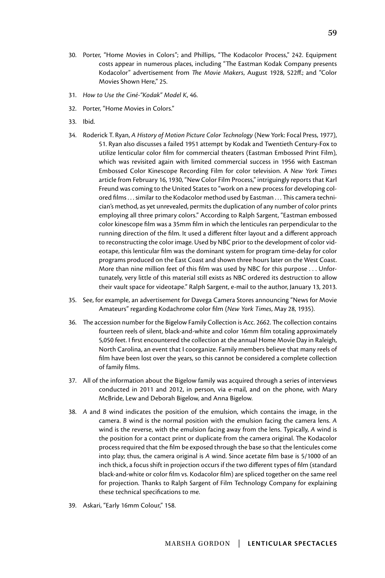- 30. Porter, "Home Movies in Colors"; and Phillips, "The Kodacolor Process," 242. Equipment costs appear in numerous places, including "The Eastman Kodak Company presents Kodacolor" advertisement from *The Movie Makers*, August 1928, 522ff.; and "Color Movies Shown Here," 25.
- 31. *How to Use the Ciné-"Kodak" Model K*, 46.
- 32. Porter, "Home Movies in Colors."
- 33. Ibid.
- 34. Roderick T. Ryan, *A History of Motion Picture Color Technology* (New York: Focal Press, 1977), 51. Ryan also discusses a failed 1951 attempt by Kodak and Twentieth Century-Fox to utilize lenticular color film for commercial theaters (Eastman Embossed Print Film), which was revisited again with limited commercial success in 1956 with Eastman Embossed Color Kinescope Recording Film for color television. A *New York Times* article from February 16, 1930, "New Color Film Process," intriguingly reports that Karl Freund was coming to the United States to "work on a new process for developing colored films . . . similar to the Kodacolor method used by Eastman . . . This camera technician's method, as yet unrevealed, permits the duplication of any number of color prints employing all three primary colors." According to Ralph Sargent, "Eastman embossed color kinescope film was a 35mm film in which the lenticules ran perpendicular to the running direction of the film. It used a different filter layout and a different approach to reconstructing the color image. Used by NBC prior to the development of color videotape, this lenticular film was the dominant system for program time-delay for color programs produced on the East Coast and shown three hours later on the West Coast. More than nine million feet of this film was used by NBC for this purpose . . . Unfortunately, very little of this material still exists as NBC ordered its destruction to allow their vault space for videotape." Ralph Sargent, e-mail to the author, January 13, 2013.
- 35. See, for example, an advertisement for Davega Camera Stores announcing "News for Movie Amateurs" regarding Kodachrome color film (*New York Times*, May 28, 1935).
- 36. The accession number for the Bigelow Family Collection is Acc. 2662. The collection contains fourteen reels of silent, black-and-white and color 16mm film totaling approximately 5,050 feet. I first encountered the collection at the annual Home Movie Day in Raleigh, North Carolina, an event that I coorganize. Family members believe that many reels of film have been lost over the years, so this cannot be considered a complete collection of family films.
- 37. All of the information about the Bigelow family was acquired through a series of interviews conducted in 2011 and 2012, in person, via e-mail, and on the phone, with Mary McBride, Lew and Deborah Bigelow, and Anna Bigelow.
- 38. *A* and *B* wind indicates the position of the emulsion, which contains the image, in the camera. *B* wind is the normal position with the emulsion facing the camera lens. *A* wind is the reverse, with the emulsion facing away from the lens. Typically, *A* wind is the position for a contact print or duplicate from the camera original. The Kodacolor process required that the film be exposed through the base so that the lenticules come into play; thus, the camera original is *A* wind. Since acetate film base is 5/1000 of an inch thick, a focus shift in projection occurs if the two different types of film (standard black-and-white or color film vs. Kodacolor film) are spliced together on the same reel for projection. Thanks to Ralph Sargent of Film Technology Company for explaining these technical specifications to me.
- 39. Askari, "Early 16mm Colour," 158.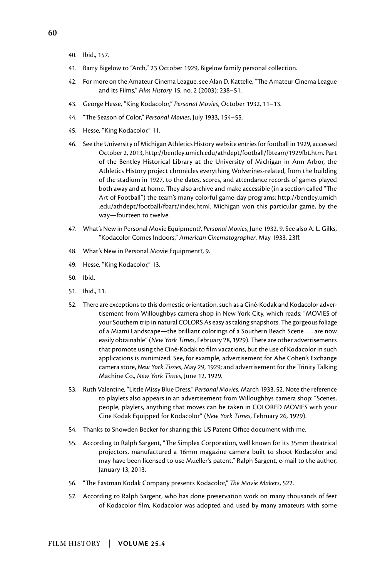- 40. Ibid., 157.
- 41. Barry Bigelow to "Arch," 23 October 1929, Bigelow family personal collection.
- 42. For more on the Amateur Cinema League, see Alan D. Kattelle, "The Amateur Cinema League and Its Films," *Film History* 15, no. 2 (2003): 238–51.
- 43. George Hesse, "King Kodacolor," *Personal Movies*, October 1932, 11–13.
- 44. "The Season of Color," *Personal Movies*, July 1933, 154–55.
- 45. Hesse, "King Kodacolor," 11.
- 46. See the University of Michigan Athletics History website entries for football in 1929, accessed October 2, 2013, http://bentley.umich.edu/athdept/football/fbteam/1929fbt.htm. Part of the Bentley Historical Library at the University of Michigan in Ann Arbor, the Athletics History project chronicles everything Wolverines-related, from the building of the stadium in 1927, to the dates, scores, and attendance records of games played both away and at home. They also archive and make accessible (in a section called "The Art of Football") the team's many colorful game-day programs: http://bentley.umich .edu/athdept/football/fbart/index.html. Michigan won this particular game, by the way—fourteen to twelve.
- 47. What's New in Personal Movie Equipment?, *Personal Movies*, June 1932, 9. See also A. L. Gilks, "Kodacolor Comes Indoors," *American Cinematographer*, May 1933, 23ff.
- 48. What's New in Personal Movie Equipment?, 9.
- 49. Hesse, "King Kodacolor," 13.
- 50. Ibid.
- 51. Ibid., 11.
- 52. There are exceptions to this domestic orientation, such as a Ciné-Kodak and Kodacolor advertisement from Willoughbys camera shop in New York City, which reads: "MOVIES of your Southern trip in natural COLORS As easy as taking snapshots. The gorgeous foliage of a Miami Landscape—the brilliant colorings of a Southern Beach Scene . . . are now easily obtainable" (*New York Times*, February 28, 1929). There are other advertisements that promote using the Ciné-Kodak to film vacations, but the use of Kodacolor in such applications is minimized. See, for example, advertisement for Abe Cohen's Exchange camera store, *New York Times*, May 29, 1929; and advertisement for the Trinity Talking Machine Co., *New York Times*, June 12, 1929.
- 53. Ruth Valentine, "Little Missy Blue Dress," *Personal Movies*, March 1933, 52. Note the reference to playlets also appears in an advertisement from Willoughbys camera shop: "Scenes, people, playlets, anything that moves can be taken in COLORED MOVIES with your Cine Kodak Equipped for Kodacolor" (*New York Times*, February 26, 1929).
- 54. Thanks to Snowden Becker for sharing this US Patent Office document with me.
- 55. According to Ralph Sargent, "The Simplex Corporation, well known for its 35mm theatrical projectors, manufactured a 16mm magazine camera built to shoot Kodacolor and may have been licensed to use Mueller's patent." Ralph Sargent, e-mail to the author, January 13, 2013.
- 56. "The Eastman Kodak Company presents Kodacolor," *The Movie Makers*, 522.
- 57. According to Ralph Sargent, who has done preservation work on many thousands of feet of Kodacolor film, Kodacolor was adopted and used by many amateurs with some